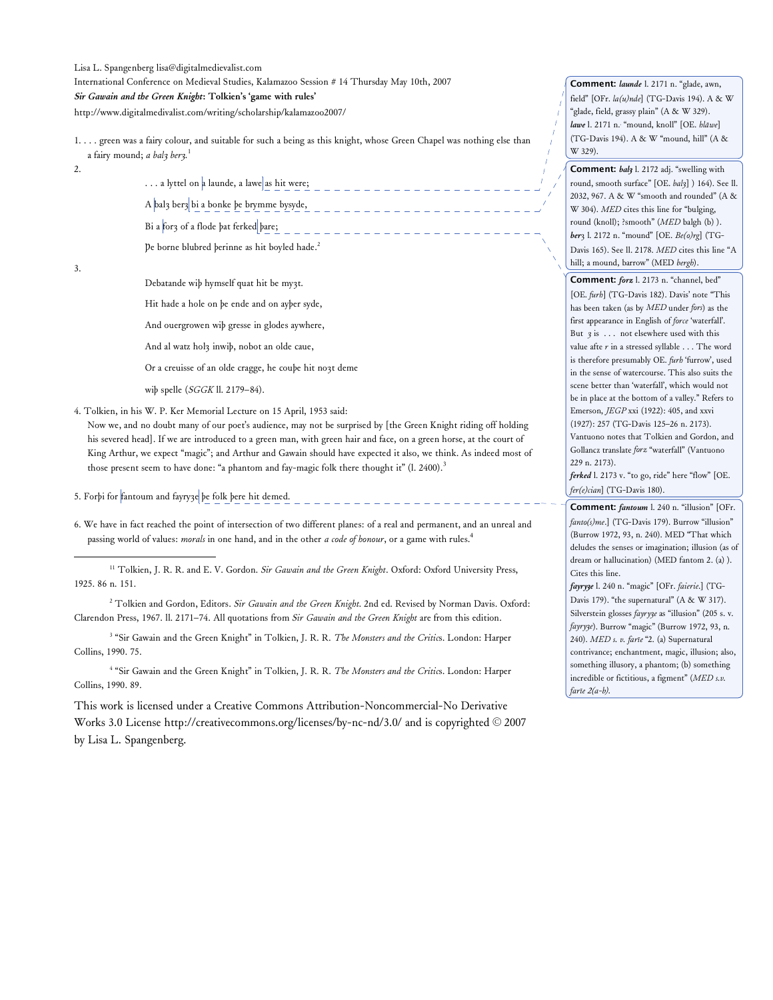Lisa L. Spangenberg lisa@digitalmedievalist.com

International Conference on Medieval Studies, Kalamazoo Session # 14 Thursday May 10th, 2007

*Sir Gawain and the Green Knight***: Tolkien's 'game with rules'**

http://www.digitalmedivalist.com/writing/scholarship/kalamazoo2007/

- 1. . . . green was a fairy colour, and suitable for such a being as this knight, whose Green Chapel was nothing else than a fairy mound; *a balȝ berȝ.* 1
- 2.

... a lyttel on a launde, a lawe as hit were;

A bal3 ber3 bi a bonke þe brymme bysyde,  $\frac{1}{2}$   $\frac{1}{2}$   $\frac{1}{2}$   $\frac{1}{2}$   $\frac{1}{2}$   $\frac{1}{2}$   $\frac{1}{2}$   $\frac{1}{2}$   $\frac{1}{2}$   $\frac{1}{2}$   $\frac{1}{2}$   $\frac{1}{2}$   $\frac{1}{2}$   $\frac{1}{2}$   $\frac{1}{2}$   $\frac{1}{2}$   $\frac{1}{2}$   $\frac{1}{2}$ 

Bi a for3 of a flode þat ferked þare;

Þe borne blubred þerinne as hit boyled hade. 2

|   |   |   | I |   |
|---|---|---|---|---|
|   | I | ٦ | ٦ |   |
| × |   | ۹ |   | × |

-

Debatande wiþ hymself quat hit be myȝt.

Hit hade a hole on þe ende and on ayþer syde,

And ouergrowen wiþ gresse in glodes aywhere,

And al watz holȝ inwiþ, nobot an olde caue,

Or a creuisse of an olde cragge, he couþe hit noȝt deme

wiþ spelle (*SGGK* ll. 2179–84).

4. Tolkien, in his W. P. Ker Memorial Lecture on 15 April, 1953 said:

Now we, and no doubt many of our poet's audience, may not be surprised by [the Green Knight riding off holding his severed head]. If we are introduced to a green man, with green hair and face, on a green horse, at the court of King Arthur, we expect "magic"; and Arthur and Gawain should have expected it also, we think. As indeed most of those present seem to have done: "a phantom and fay-magic folk there thought it" (l. 2400).<sup>3</sup>

5. Forþi for fantoum and fayryȝe þe folk þere hit demed.

6. We have in fact reached the point of intersection of two different planes: of a real and permanent, and an unreal and passing world of values: *morals* in one hand, and in the other *a code of honour*, or a game with rules. 4

<sup>2</sup> Tolkien and Gordon, Editors. *Sir Gawain and the Green Knight*. 2nd ed. Revised by Norman Davis. Oxford: Clarendon Press, 1967. ll. 2171–74. All quotations from *Sir Gawain and the Green Knight* are from this edition.

<sup>3</sup> "Sir Gawain and the Green Knight" in Tolkien, J. R. R. *The Monsters and the Critic*s. London: Harper Collins, 1990. 75.

<sup>4</sup> "Sir Gawain and the Green Knight" in Tolkien, J. R. R. *The Monsters and the Critic*s. London: Harper Collins, 1990. 89.

This work is licensed under a Creative Commons Attribution-Noncommercial-No Derivative Works 3.0 License http://creativecommons.org/licenses/by-nc-nd/3.0/ and is copyrighted © 2007 by Lisa L. Spangenberg.

**Comment:** *launde* l. 2171 n. "glade, awn, field" [OFr. *la(u)nde*] (TG-Davis 194). A & W "glade, field, grassy plain" (A & W 329). *lawe* l. 2171 n.2 "mound, knoll" [OE. *hlāwe*] (TG-Davis 194). A & W "mound, hill" (A & W 329).

**Comment:** *balȝ* l. 2172 adj. "swelling with round, smooth surface" [OE. *balȝ*] ) 164). See ll. 2032, 967. A & W "smooth and rounded" (A & W 304). *MED* cites this line for "bulging, round (knoll); ?smooth" (*MED* balgh (b) ). *ber*ȝ l. 2172 n. "mound" [OE. *Be(o)rg*] (TG-Davis 165). See ll. 2178. *MED* cites this line "A hill; a mound, barrow" (MED *bergh*).

**Comment:** *forz* l. 2173 n. "channel, bed" [OE. *furh*] (TG-Davis 182). Davis' note "This has been taken (as by *MED* under *fors*) as the first appearance in English of *force* 'waterfall'. But *ȝ* is . . . not elsewhere used with this value afte *r* in a stressed syllable . . . The word is therefore presumably OE. *furh* 'furrow', used in the sense of watercourse. This also suits the scene better than 'waterfall', which would not be in place at the bottom of a valley." Refers to Emerson, *JEGP* xxi (1922): 405, and xxvi (1927): 257 (TG-Davis 125–26 n. 2173). Vantuono notes that Tolkien and Gordon, and Gollancz translate *forz* "waterfall" (Vantuono 229 n. 2173).

*ferked* l. 2173 v. "to go, ride" here "flow" [OE. *fer(e)cian*] (TG-Davis 180).

**Comment:** *fantoum* l. 240 n. "illusion" [OFr. *fanto(s)me*.] (TG-Davis 179). Burrow "illusion" (Burrow 1972, 93, n. 240). MED "That which deludes the senses or imagination; illusion (as of dream or hallucination) (MED fantom 2. (a) ). Cites this line.

*fayryȝe* l. 240 n. "magic" [OFr. *faierie*.] (TG-Davis 179). "the supernatural" (A & W 317). Silverstein glosses *fayryȝe* as "illusion" (205 s. v. *fayryȝe*). Burrow "magic" (Burrow 1972, 93, n. 240). *MED s. v. farīe* "2. (a) Supernatural contrivance; enchantment, magic, illusion; also, something illusory, a phantom; (b) something incredible or fictitious, a figment" (*MED s.v. farīe 2(a-b).*

<sup>11</sup> Tolkien, J. R. R. and E. V. Gordon. *Sir Gawain and the Green Knight*. Oxford: Oxford University Press, 1925. 86 n. 151.